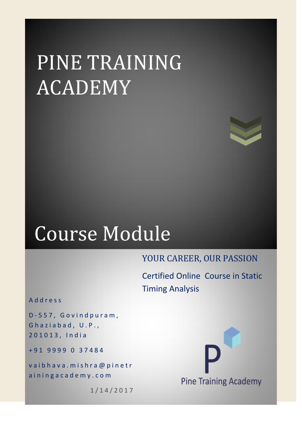# PINE TRAINING ACADEMY



## Course Module

## YOUR CAREER, OUR PASSION

Certified Online Course in Static Timing Analysis

A d d r e s s

D - 5 5 7 , G o v i n d p u r a m , Ghaziabad, U.P., 2 0 1 0 1 3 , I n d i a

+ 9 1 9 9 9 9 0 3 7 4 8 4

vaibhava.mishra@pinetr a in ingacademy.com

1 / 1 4 / 2 0 1 7

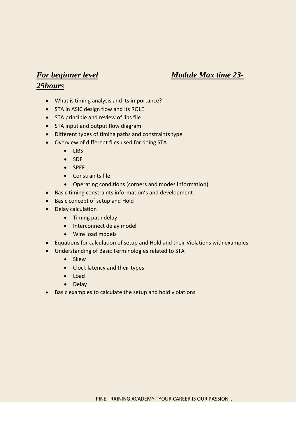### *For beginner level Module Max time 23-*

#### *25hours*

- What is timing analysis and its importance?
- STA in ASIC design flow and its ROLE
- STA principle and review of libs file
- STA input and output flow diagram
- Different types of timing paths and constraints type
- Overview of different files used for doing STA
	- LIBS
	- SDF
	- SPEF
	- Constraints file
	- Operating conditions (corners and modes information)
- Basic timing constraints information's and development
- Basic concept of setup and Hold
- Delay calculation
	- Timing path delay
	- Interconnect delay model
	- Wire load models
- Equations for calculation of setup and Hold and their Violations with examples
- Understanding of Basic Terminologies related to STA
	- Skew
	- Clock latency and their types
	- Load
	- Delay
- Basic examples to calculate the setup and hold violations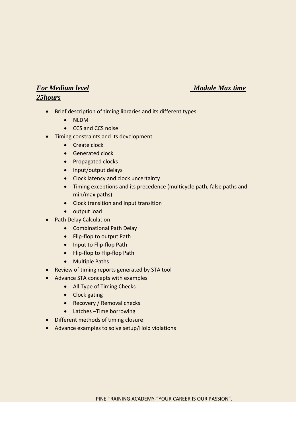#### *For Medium level Module Max time Module Max time*

#### *25hours*

- Brief description of timing libraries and its different types
	- NLDM
	- CCS and CCS noise
- Timing constraints and its development
	- Create clock
	- **•** Generated clock
	- Propagated clocks
	- Input/output delays
	- Clock latency and clock uncertainty
	- Timing exceptions and its precedence (multicycle path, false paths and min/max paths)
	- Clock transition and input transition
	- output load
	- Path Delay Calculation
		- Combinational Path Delay
		- Flip-flop to output Path
		- Input to Flip-flop Path
		- Flip-flop to Flip-flop Path
		- Multiple Paths
- Review of timing reports generated by STA tool
- Advance STA concepts with examples
	- All Type of Timing Checks
	- Clock gating
	- Recovery / Removal checks
	- Latches –Time borrowing
- Different methods of timing closure
- Advance examples to solve setup/Hold violations